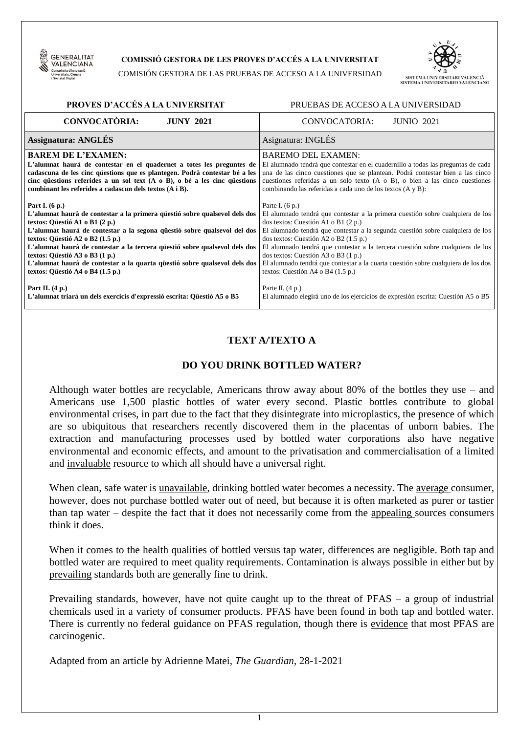

#### **COMISSIÓ GESTORA DE LES PROVES D'ACCÉS A LA UNIVERSITAT**

COMISIÓN GESTORA DE LAS PRUEBAS DE ACCESO A LA UNIVERSIDAD



| PROVES D'ACCÉS A LA UNIVERSITAT<br>PRUEBAS DE ACCESO A LA UNIVERSIDAD            |                                                                                    |  |  |
|----------------------------------------------------------------------------------|------------------------------------------------------------------------------------|--|--|
| <b>CONVOCATÒRIA:</b>                                                             | <b>JUNIO 2021</b>                                                                  |  |  |
| <b>JUNY 2021</b>                                                                 | CONVOCATORIA:                                                                      |  |  |
| <b>Assignatura: ANGLÉS</b>                                                       | Asignatura: INGLÉS                                                                 |  |  |
| <b>BAREM DE L'EXAMEN:</b>                                                        | <b>BAREMO DEL EXAMEN:</b>                                                          |  |  |
| L'alumnat haurà de contestar en el quadernet a totes les preguntes de            | El alumnado tendrá que contestar en el cuadernillo a todas las preguntas de cada   |  |  |
| cadascuna de les cinc questions que es plantegen. Podrà contestar bé a les       | una de las cinco cuestiones que se plantean. Podrá contestar bien a las cinco      |  |  |
| cinc questions referides a un sol text $(A \circ B)$ , o bé a les cinc questions | cuestiones referidas a un solo texto $(A \circ B)$ , o bien a las cinco cuestiones |  |  |
| combinant les referides a cadascun dels textos (A i B).                          | combinando las referidas a cada uno de los textos (A y B):                         |  |  |
| Part I. $(6 p.)$                                                                 | Parte I. $(6 p.)$                                                                  |  |  |
| L'alumnat haurà de contestar a la primera questió sobre qualsevol dels dos       | El alumnado tendrá que contestar a la primera cuestión sobre cualquiera de los     |  |  |
| textos: Qüestió A1 o B1 (2 p.)                                                   | dos textos: Cuestión A1 o B1 (2 p.)                                                |  |  |
| L'alumnat haurà de contestar a la segona qüestió sobre qualsevol del dos         | El alumnado tendrá que contestar a la segunda cuestión sobre cualquiera de los     |  |  |
| textos: Qüestió A2 o B2 (1.5 p.)                                                 | dos textos: Cuestión A2 o B2 (1.5 p.)                                              |  |  |
| L'alumnat haurà de contestar a la tercera questió sobre qualsevol dels dos       | El alumnado tendrá que contestar a la tercera cuestión sobre cualquiera de los     |  |  |
| textos: Qüestió A3 o B3 (1 p.)                                                   | dos textos: Cuestión A3 o B3 (1 p.)                                                |  |  |
| L'alumnat haurà de contestar a la quarta güestió sobre qualsevol dels dos        | El alumnado tendrá que contestar a la cuarta cuestión sobre cualquiera de los dos  |  |  |
| textos: Qüestió A4 o B4 (1.5 p.)                                                 | textos: Cuestión A4 o B4 (1.5 p.)                                                  |  |  |
| Part II. $(4 p.)$                                                                | Parte II. $(4 p.)$                                                                 |  |  |
| L'alumnat triarà un dels exercicis d'expressió escrita: Qüestió A5 o B5          | El alumnado elegirá uno de los ejercicios de expresión escrita: Cuestión A5 o B5   |  |  |

# **TEXT A/TEXTO A**

### **DO YOU DRINK BOTTLED WATER?**

Although water bottles are recyclable, Americans throw away about 80% of the bottles they use – and Americans use 1,500 plastic bottles of water every second. Plastic bottles contribute to global environmental crises, in part due to the fact that they disintegrate into microplastics, the presence of which are so ubiquitous that researchers recently discovered them in the placentas of unborn babies. The extraction and manufacturing processes used by bottled water corporations also have negative environmental and economic effects, and amount to the privatisation and commercialisation of a limited and invaluable resource to which all should have a universal right.

When clean, safe water is <u>unavailable</u>, drinking bottled water becomes a necessity. The <u>average</u> consumer, however, does not purchase bottled water out of need, but because it is often marketed as purer or tastier than tap water – despite the fact that it does not necessarily come from the appealing sources consumers think it does.

When it comes to the health qualities of bottled versus tap water, differences are negligible. Both tap and bottled water are required to meet quality requirements. Contamination is always possible in either but by prevailing standards both are generally fine to drink.

Prevailing standards, however, have not quite caught up to the threat of PFAS – a group of industrial chemicals used in a variety of consumer products. PFAS have been found in both tap and bottled water. There is currently no federal guidance on PFAS regulation, though there is evidence that most PFAS are carcinogenic.

Adapted from an article by Adrienne Matei, *The Guardian*, 28-1-2021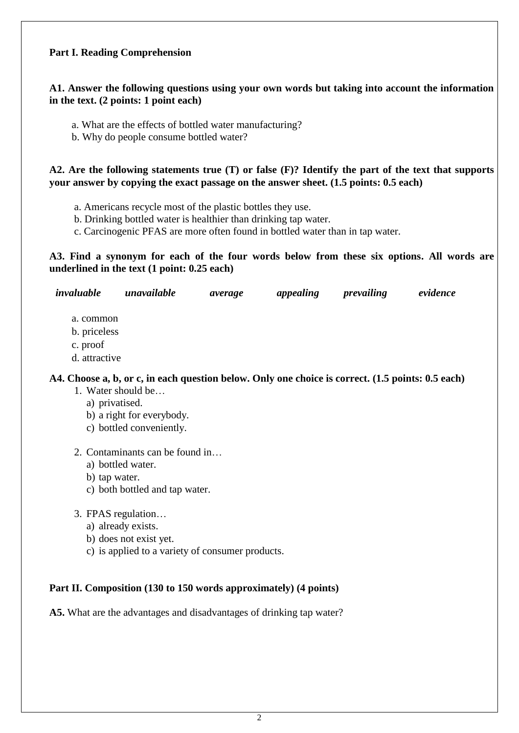### **Part I. Reading Comprehension**

# **A1. Answer the following questions using your own words but taking into account the information in the text. (2 points: 1 point each)**

- a. What are the effects of bottled water manufacturing?
- b. Why do people consume bottled water?

# **A2. Are the following statements true (T) or false (F)? Identify the part of the text that supports your answer by copying the exact passage on the answer sheet. (1.5 points: 0.5 each)**

- a. Americans recycle most of the plastic bottles they use.
- b. Drinking bottled water is healthier than drinking tap water.
- c. Carcinogenic PFAS are more often found in bottled water than in tap water.

# **A3. Find a synonym for each of the four words below from these six options. All words are underlined in the text (1 point: 0.25 each)**

| invaluable                            | unavailable                                                                                                                                          | average | appealing | prevailing | evidence |
|---------------------------------------|------------------------------------------------------------------------------------------------------------------------------------------------------|---------|-----------|------------|----------|
| a. common<br>b. priceless<br>c. proof |                                                                                                                                                      |         |           |            |          |
| d. attractive                         |                                                                                                                                                      |         |           |            |          |
| a) privatised.                        | A4. Choose a, b, or c, in each question below. Only one choice is correct. (1.5 points: 0.5 each)<br>1. Water should be<br>b) a right for everybody. |         |           |            |          |
|                                       | c) bottled conveniently.                                                                                                                             |         |           |            |          |
|                                       | 2. Contaminants can be found in<br>a) bottled water.                                                                                                 |         |           |            |          |

- b) tap water.
- c) both bottled and tap water.
- 3. FPAS regulation…
	- a) already exists.
	- b) does not exist yet.
	- c) is applied to a variety of consumer products.

# **Part II. Composition (130 to 150 words approximately) (4 points)**

**A5.** What are the advantages and disadvantages of drinking tap water?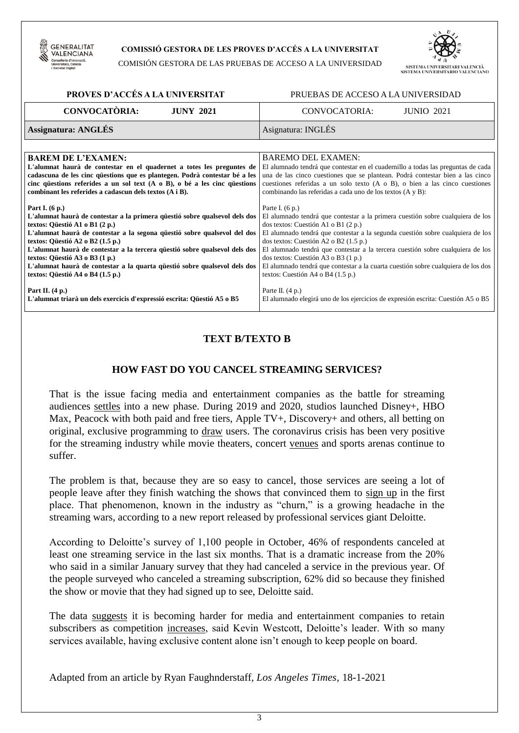

#### **COMISSIÓ GESTORA DE LES PROVES D'ACCÉS A LA UNIVERSITAT**

COMISIÓN GESTORA DE LAS PRUEBAS DE ACCESO A LA UNIVERSIDAD



| PROVES D'ACCÉS A LA UNIVERSITAT                                                  | PRUEBAS DE ACCESO A LA UNIVERSIDAD                                                 |  |  |
|----------------------------------------------------------------------------------|------------------------------------------------------------------------------------|--|--|
| <b>CONVOCATÒRIA:</b>                                                             | CONVOCATORIA:                                                                      |  |  |
| <b>JUNY 2021</b>                                                                 | <b>JUNIO 2021</b>                                                                  |  |  |
| <b>Assignatura: ANGLÉS</b>                                                       | Asignatura: INGLÉS                                                                 |  |  |
|                                                                                  |                                                                                    |  |  |
| <b>BAREM DE L'EXAMEN:</b>                                                        | <b>BAREMO DEL EXAMEN:</b>                                                          |  |  |
| L'alumnat haurà de contestar en el quadernet a totes les preguntes de            | El alumnado tendrá que contestar en el cuadernillo a todas las preguntas de cada   |  |  |
| cadascuna de les cinc questions que es plantegen. Podrà contestar bé a les       | una de las cinco cuestiones que se plantean. Podrá contestar bien a las cinco      |  |  |
| cinc questions referides a un sol text $(A \circ B)$ , o bé a les cinc questions | cuestiones referidas a un solo texto $(A \circ B)$ , o bien a las cinco cuestiones |  |  |
| combinant les referides a cadascun dels textos (A i B).                          | combinando las referidas a cada uno de los textos (A y B):                         |  |  |
| Part I. $(6 p.)$                                                                 | Parte I. $(6 p.)$                                                                  |  |  |
| L'alumnat haurà de contestar a la primera questió sobre qualsevol dels dos       | El alumnado tendrá que contestar a la primera cuestión sobre cualquiera de los     |  |  |
| textos: Qüestió A1 o B1 (2 p.)                                                   | dos textos: Cuestión A1 o B1 (2 p.)                                                |  |  |
| L'alumnat haurà de contestar a la segona qüestió sobre qualsevol del dos         | El alumnado tendrá que contestar a la segunda cuestión sobre cualquiera de los     |  |  |
| textos: Qüestió A2 o B2 (1.5 p.)                                                 | dos textos: Cuestión A2 o B2 (1.5 p.)                                              |  |  |
| L'alumnat haurà de contestar a la tercera questió sobre qualsevol dels dos       | El alumnado tendrá que contestar a la tercera cuestión sobre cualquiera de los     |  |  |
| textos: Qüestió A3 o B3 (1 p.)                                                   | dos textos: Cuestión A3 o B3 (1 p.)                                                |  |  |
| L'alumnat haurà de contestar a la quarta güestió sobre qualsevol dels dos        | El alumnado tendrá que contestar a la cuarta cuestión sobre cualquiera de los dos  |  |  |
| textos: Qüestió A4 o B4 (1.5 p.)                                                 | textos: Cuestión A4 o B4 (1.5 p.)                                                  |  |  |
| Part II. $(4 p.)$                                                                | Parte II. $(4 p.)$                                                                 |  |  |
| L'alumnat triarà un dels exercicis d'expressió escrita: Qüestió A5 o B5          | El alumnado elegirá uno de los ejercicios de expresión escrita: Cuestión A5 o B5   |  |  |

#### **TEXT B/TEXTO B**

### **HOW FAST DO YOU CANCEL STREAMING SERVICES?**

That is the issue facing media and entertainment companies as the battle for streaming audiences settles into a new phase. During 2019 and 2020, studios launched Disney+, HBO Max, Peacock with both paid and free tiers, Apple TV+, Discovery+ and others, all betting on original, exclusive programming to draw users. The coronavirus crisis has been very positive for the streaming industry while movie theaters, concert venues and sports arenas continue to suffer.

The problem is that, because they are so easy to cancel, those services are seeing a lot of people leave after they finish watching the shows that convinced them to sign up in the first place. That phenomenon, known in the industry as "churn," is a growing headache in the streaming wars, according to a new report released by professional services giant Deloitte.

According to Deloitte's survey of 1,100 people in October, 46% of respondents canceled at least one streaming service in the last six months. That is a dramatic increase from the 20% who said in a similar January survey that they had canceled a service in the previous year. Of the people surveyed who canceled a streaming subscription, 62% did so because they finished the show or movie that they had signed up to see, Deloitte said.

The data suggests it is becoming harder for media and entertainment companies to retain subscribers as competition increases, said Kevin Westcott, Deloitte's leader. With so many services available, having exclusive content alone isn't enough to keep people on board.

Adapted from an article by Ryan Faughnderstaff, *Los Angeles Times,* 18-1-2021